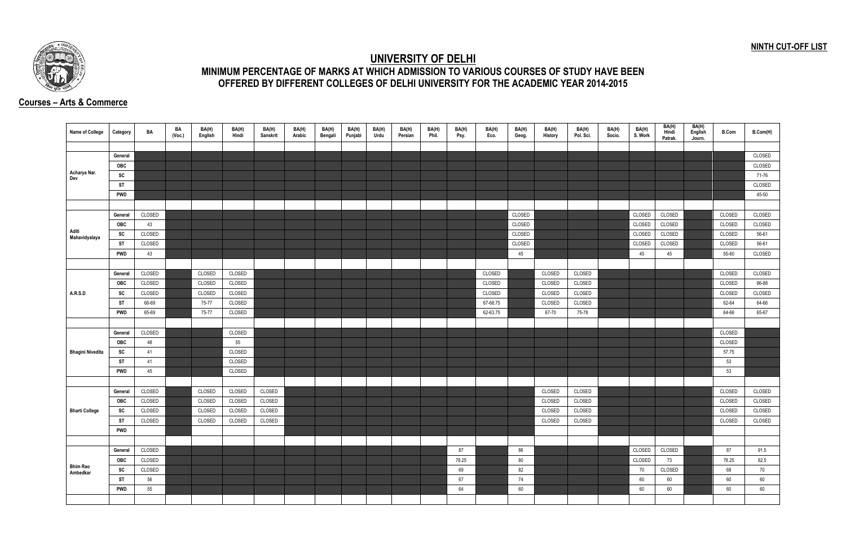## **NINTH CUT-OFF LIST**



## **UNIVERSITY OF DELHI MINIMUM PERCENTAGE OF MARKS AT WHICH ADMISSION TO VARIOUS COURSES OF STUDY HAVE BEEN OFFERED BY DIFFERENT COLLEGES OF DELHI UNIVERSITY FOR THE ACADEMIC YEAR 2014-2015**

## **Courses – Arts & Commerce**

| Name of College         | Category   | BA     | BA<br>(Voc.) | BA(H)<br>English | BA(H)<br>Hindi | BA(H)<br><b>Sanskrit</b> | BA(H)<br>Arabic | BA(H)<br>Bengali | BA(H)<br>Punjabi | BA(H)<br>Urdu | BA(H)<br>Persian | BA(H)<br>Phil. | BA(H)<br>Psy. | BA(H)<br>Eco. | BA(H)<br>Geog. | BA(H)<br><b>History</b> | BA(H)<br>Pol. Sci. | BA(H)<br>Socio. | BA(H)<br>S. Work | BA(H)<br>Hindi<br>Patrak. | BA(H)<br>English<br>Journ. | <b>B.Com</b> | B.Com(H) |
|-------------------------|------------|--------|--------------|------------------|----------------|--------------------------|-----------------|------------------|------------------|---------------|------------------|----------------|---------------|---------------|----------------|-------------------------|--------------------|-----------------|------------------|---------------------------|----------------------------|--------------|----------|
|                         |            |        |              |                  |                |                          |                 |                  |                  |               |                  |                |               |               |                |                         |                    |                 |                  |                           |                            |              |          |
|                         | General    |        |              |                  |                |                          |                 |                  |                  |               |                  |                |               |               |                |                         |                    |                 |                  |                           |                            |              | CLOSED   |
|                         | OBC        |        |              |                  |                |                          |                 |                  |                  |               |                  |                |               |               |                |                         |                    |                 |                  |                           |                            |              | CLOSED   |
| Acharya Nar.<br>Dev     | SC         |        |              |                  |                |                          |                 |                  |                  |               |                  |                |               |               |                |                         |                    |                 |                  |                           |                            |              | 71-76    |
|                         | <b>ST</b>  |        |              |                  |                |                          |                 |                  |                  |               |                  |                |               |               |                |                         |                    |                 |                  |                           |                            |              | CLOSED   |
|                         | <b>PWD</b> |        |              |                  |                |                          |                 |                  |                  |               |                  |                |               |               |                |                         |                    |                 |                  |                           |                            |              | 45-50    |
|                         |            |        |              |                  |                |                          |                 |                  |                  |               |                  |                |               |               |                |                         |                    |                 |                  |                           |                            |              |          |
|                         | General    | CLOSED |              |                  |                |                          |                 |                  |                  |               |                  |                |               |               | CLOSED         |                         |                    |                 | CLOSED           | CLOSED                    |                            | CLOSED       | CLOSED   |
|                         | <b>OBC</b> | 43     |              |                  |                |                          |                 |                  |                  |               |                  |                |               |               | CLOSED         |                         |                    |                 | CLOSED           | CLOSED                    |                            | CLOSED       | CLOSED   |
| Aditi<br>Mahavidyalaya  | SC         | CLOSED |              |                  |                |                          |                 |                  |                  |               |                  |                |               |               | CLOSED         |                         |                    |                 | CLOSED           | CLOSED                    |                            | CLOSED       | 56-61    |
|                         | ST         | CLOSED |              |                  |                |                          |                 |                  |                  |               |                  |                |               |               | CLOSED         |                         |                    |                 | CLOSED           | CLOSED                    |                            | CLOSED       | 56-61    |
|                         | <b>PWD</b> | 43     |              |                  |                |                          |                 |                  |                  |               |                  |                |               |               | 45             |                         |                    |                 | 45               | 45                        |                            | 55-60        | CLOSED   |
|                         |            |        |              |                  |                |                          |                 |                  |                  |               |                  |                |               |               |                |                         |                    |                 |                  |                           |                            |              |          |
|                         | General    | CLOSED |              | CLOSED           | CLOSED         |                          |                 |                  |                  |               |                  |                |               | CLOSED        |                | CLOSED                  | CLOSED             |                 |                  |                           |                            | CLOSED       | CLOSED   |
|                         | OBC        | CLOSED |              | CLOSED           | CLOSED         |                          |                 |                  |                  |               |                  |                |               | CLOSED        |                | CLOSED                  | CLOSED             |                 |                  |                           |                            | CLOSED       | 86-88    |
| A.R.S.D                 | SC         | CLOSED |              | CLOSED           | CLOSED         |                          |                 |                  |                  |               |                  |                |               | CLOSED        |                | CLOSED                  | CLOSED             |                 |                  |                           |                            | CLOSED       | CLOSED   |
|                         | ST         | 66-69  |              | 75-77            | CLOSED         |                          |                 |                  |                  |               |                  |                |               | 67-68.75      |                | CLOSED                  | CLOSED             |                 |                  |                           |                            | 62-64        | 64-66    |
|                         | <b>PWD</b> | 65-69  |              | 75-77            | CLOSED         |                          |                 |                  |                  |               |                  |                |               | 62-63.75      |                | 67-70                   | 75-78              |                 |                  |                           |                            | 64-66        | 65-67    |
|                         |            |        |              |                  |                |                          |                 |                  |                  |               |                  |                |               |               |                |                         |                    |                 |                  |                           |                            |              |          |
|                         | General    | CLOSED |              |                  | CLOSED         |                          |                 |                  |                  |               |                  |                |               |               |                |                         |                    |                 |                  |                           |                            | CLOSED       |          |
|                         | <b>OBC</b> | 48     |              |                  | 55             |                          |                 |                  |                  |               |                  |                |               |               |                |                         |                    |                 |                  |                           |                            | CLOSED       |          |
| <b>Bhagini Nivedita</b> | SC         | 41     |              |                  | CLOSED         |                          |                 |                  |                  |               |                  |                |               |               |                |                         |                    |                 |                  |                           |                            | 57.75        |          |
|                         | ST         | 41     |              |                  | CLOSED         |                          |                 |                  |                  |               |                  |                |               |               |                |                         |                    |                 |                  |                           |                            | 53           |          |
|                         | <b>PWD</b> | 45     |              |                  | CLOSED         |                          |                 |                  |                  |               |                  |                |               |               |                |                         |                    |                 |                  |                           |                            | 53           |          |
|                         |            |        |              |                  |                |                          |                 |                  |                  |               |                  |                |               |               |                |                         |                    |                 |                  |                           |                            |              |          |
|                         | General    | CLOSED |              | CLOSED           | CLOSED         | CLOSED                   |                 |                  |                  |               |                  |                |               |               |                | CLOSED                  | CLOSED             |                 |                  |                           |                            | CLOSED       | CLOSED   |
|                         | OBC        | CLOSED |              | CLOSED           | CLOSED         | CLOSED                   |                 |                  |                  |               |                  |                |               |               |                | CLOSED                  | CLOSED             |                 |                  |                           |                            | CLOSED       | CLOSED   |
| <b>Bharti College</b>   | SC         | CLOSED |              | CLOSED           | CLOSED         | CLOSED                   |                 |                  |                  |               |                  |                |               |               |                | CLOSED                  | CLOSED             |                 |                  |                           |                            | CLOSED       | CLOSED   |
|                         | <b>ST</b>  | CLOSED |              | CLOSED           | CLOSED         | CLOSED                   |                 |                  |                  |               |                  |                |               |               |                | CLOSED                  | CLOSED             |                 |                  |                           |                            | CLOSED       | CLOSED   |
|                         | <b>PWD</b> |        |              |                  |                |                          |                 |                  |                  |               |                  |                |               |               |                |                         |                    |                 |                  |                           |                            |              |          |
|                         |            |        |              |                  |                |                          |                 |                  |                  |               |                  |                |               |               |                |                         |                    |                 |                  |                           |                            |              |          |
|                         | General    | CLOSED |              |                  |                |                          |                 |                  |                  |               |                  |                | 87            |               | 86             |                         |                    |                 | CLOSED           | CLOSED                    |                            | 87           | 91.5     |
|                         | <b>OBC</b> | CLOSED |              |                  |                |                          |                 |                  |                  |               |                  |                | 78.25         |               | 80             |                         |                    |                 | CLOSED           | 73                        |                            | 78.25        | 82.5     |
| <b>Bhim Rao</b>         | SC         | CLOSED |              |                  |                |                          |                 |                  |                  |               |                  |                | 69            |               | 82             |                         |                    |                 | 70               | CLOSED                    |                            | 68           | 70       |
| Ambedkar                | ST         | 56     |              |                  |                |                          |                 |                  |                  |               |                  |                | 67            |               | 74             |                         |                    |                 | 60               | 60                        |                            | 60           | 60       |
|                         | <b>PWD</b> | 55     |              |                  |                |                          |                 |                  |                  |               |                  |                | 64            |               | 60             |                         |                    |                 | 60               | 60                        |                            | 60           | 60       |
|                         |            |        |              |                  |                |                          |                 |                  |                  |               |                  |                |               |               |                |                         |                    |                 |                  |                           |                            |              |          |
|                         |            |        |              |                  |                |                          |                 |                  |                  |               |                  |                |               |               |                |                         |                    |                 |                  |                           |                            |              |          |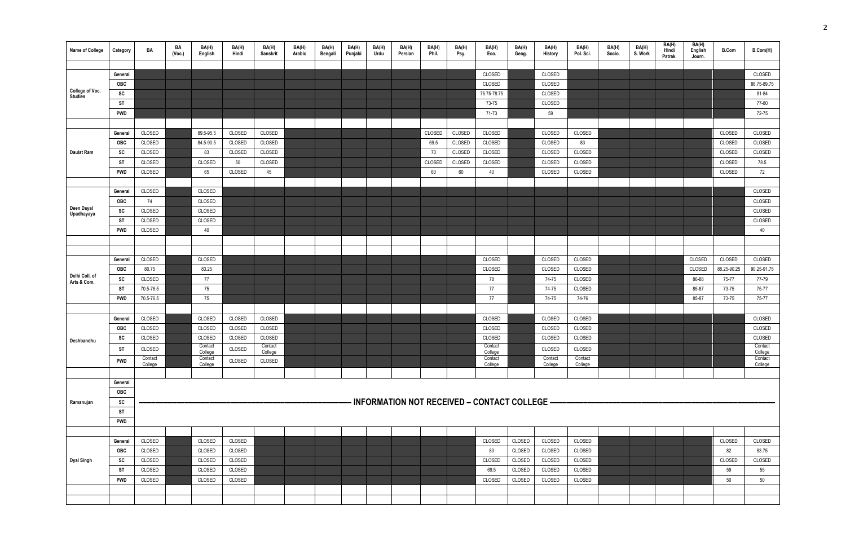| <b>Name of College</b> | Category         | BA        | BA<br>(Vec.) | BA(H)<br>English   | BA(H)<br>Hindi | BA(H)<br>Sanskrit  | BA(H)<br>Arabic | BA(H)<br>Bengali | BA(H)<br>Punjabi | BA(H)<br>Urdu | BA(H)<br>Persian | BA(H)<br>Phil. | BA(H)<br>Psy. | BA(H)<br>Eco.                                  | BA(H)<br>Geog. | BA(H)<br>History | BA(H)<br>Pol. Sci. | BA(H)<br>Socio. | BA(H)<br>S. Work | BA(H)<br>Hindi<br>Patrak. | BA(H)<br>English<br>Journ. | <b>B.Com</b> | B.Com(H)           |
|------------------------|------------------|-----------|--------------|--------------------|----------------|--------------------|-----------------|------------------|------------------|---------------|------------------|----------------|---------------|------------------------------------------------|----------------|------------------|--------------------|-----------------|------------------|---------------------------|----------------------------|--------------|--------------------|
|                        |                  |           |              |                    |                |                    |                 |                  |                  |               |                  |                |               |                                                |                |                  |                    |                 |                  |                           |                            |              |                    |
|                        | General          |           |              |                    |                |                    |                 |                  |                  |               |                  |                |               | CLOSED                                         |                | CLOSED           |                    |                 |                  |                           |                            |              | CLOSED             |
| College of Voc.        | OBC              |           |              |                    |                |                    |                 |                  |                  |               |                  |                |               | CLOSED                                         |                | CLOSED           |                    |                 |                  |                           |                            |              | 86.75-89.75        |
| <b>Studies</b>         | SC               |           |              |                    |                |                    |                 |                  |                  |               |                  |                |               | 76.75-78.75                                    |                | CLOSED           |                    |                 |                  |                           |                            |              | 81-84              |
|                        | ST               |           |              |                    |                |                    |                 |                  |                  |               |                  |                |               | 73-75                                          |                | CLOSED           |                    |                 |                  |                           |                            |              | 77-80              |
|                        | <b>PWD</b>       |           |              |                    |                |                    |                 |                  |                  |               |                  |                |               | 71-73                                          |                | 59               |                    |                 |                  |                           |                            |              | 72-75              |
|                        |                  |           |              |                    |                |                    |                 |                  |                  |               |                  |                |               |                                                |                |                  |                    |                 |                  |                           |                            |              |                    |
|                        | General          | CLOSED    |              | 89.5-95.5          | CLOSED         | CLOSED             |                 |                  |                  |               |                  | CLOSED         | CLOSED        | CLOSED                                         |                | CLOSED           | CLOSED             |                 |                  |                           |                            | CLOSED       | CLOSED             |
|                        | <b>OBC</b>       | CLOSED    |              | 84.5-90.5          | CLOSED         | CLOSED             |                 |                  |                  |               |                  | 69.5           | CLOSED        | CLOSED                                         |                | CLOSED           | 83                 |                 |                  |                           |                            | CLOSED       | CLOSED             |
| Daulat Ram             | SC               | CLOSED    |              | 83                 | CLOSED         | CLOSED             |                 |                  |                  |               |                  | 70             | CLOSED        | CLOSED                                         |                | CLOSED           | CLOSED             |                 |                  |                           |                            | CLOSED       | CLOSED             |
|                        | <b>ST</b>        | CLOSED    |              | CLOSED             | 50             | CLOSED             |                 |                  |                  |               |                  | CLOSED         | CLOSED        | CLOSED                                         |                | CLOSED           | CLOSED             |                 |                  |                           |                            | CLOSED       | 78.5               |
|                        | <b>PWD</b>       | CLOSED    |              | 65                 | CLOSED         | 45                 |                 |                  |                  |               |                  | 60             | 60            | 40                                             |                | CLOSED           | CLOSED             |                 |                  |                           |                            | CLOSED       | 72                 |
|                        |                  |           |              |                    |                |                    |                 |                  |                  |               |                  |                |               |                                                |                |                  |                    |                 |                  |                           |                            |              |                    |
|                        | General          | CLOSED    |              | CLOSED             |                |                    |                 |                  |                  |               |                  |                |               |                                                |                |                  |                    |                 |                  |                           |                            |              | CLOSED             |
| Deen Dayal             | <b>OBC</b>       | 74        |              | CLOSED             |                |                    |                 |                  |                  |               |                  |                |               |                                                |                |                  |                    |                 |                  |                           |                            |              | CLOSED             |
| Upadhayaya             | SC               | CLOSED    |              | CLOSED             |                |                    |                 |                  |                  |               |                  |                |               |                                                |                |                  |                    |                 |                  |                           |                            |              | CLOSED             |
|                        | <b>ST</b>        | CLOSED    |              | CLOSED             |                |                    |                 |                  |                  |               |                  |                |               |                                                |                |                  |                    |                 |                  |                           |                            |              | CLOSED             |
|                        | <b>PWD</b>       | CLOSED    |              | 40                 |                |                    |                 |                  |                  |               |                  |                |               |                                                |                |                  |                    |                 |                  |                           |                            |              | 40                 |
|                        |                  |           |              |                    |                |                    |                 |                  |                  |               |                  |                |               |                                                |                |                  |                    |                 |                  |                           |                            |              |                    |
|                        |                  |           |              |                    |                |                    |                 |                  |                  |               |                  |                |               |                                                |                |                  |                    |                 |                  |                           |                            |              |                    |
|                        | General          | CLOSED    |              | CLOSED             |                |                    |                 |                  |                  |               |                  |                |               | CLOSED                                         |                | CLOSED           | CLOSED             |                 |                  |                           | CLOSED                     | CLOSED       | CLOSED             |
| Delhi Coll. of         | <b>OBC</b>       | 80.75     |              | 83.25              |                |                    |                 |                  |                  |               |                  |                |               | CLOSED                                         |                | CLOSED           | CLOSED             |                 |                  |                           | CLOSED                     | 88.25-90.25  | 90.25-91.75        |
| Arts & Com.            | SC               | CLOSED    |              | 77                 |                |                    |                 |                  |                  |               |                  |                |               | 78                                             |                | 74-75            | CLOSED             |                 |                  |                           | 86-88                      | 75-77        | 77-79              |
|                        | <b>ST</b>        | 70.5-76.5 |              | 75                 |                |                    |                 |                  |                  |               |                  |                |               | 77                                             |                | 74-75            | CLOSED             |                 |                  |                           | 85-87                      | 73-75        | 75-77              |
|                        | <b>PWD</b>       | 70.5-76.5 |              | 75                 |                |                    |                 |                  |                  |               |                  |                |               | 77                                             |                | 74-75            | 74-76              |                 |                  |                           | 85-87                      | 73-75        | 75-77              |
|                        |                  |           |              |                    |                |                    |                 |                  |                  |               |                  |                |               |                                                |                |                  |                    |                 |                  |                           |                            |              |                    |
|                        | General          | CLOSED    |              | CLOSED             | CLOSED         | CLOSED             |                 |                  |                  |               |                  |                |               | CLOSED                                         |                | CLOSED           | CLOSED             |                 |                  |                           |                            |              | CLOSED             |
|                        | <b>OBC</b>       | CLOSED    |              | CLOSED             | CLOSED         | CLOSED             |                 |                  |                  |               |                  |                |               | CLOSED                                         |                | CLOSED           | CLOSED             |                 |                  |                           |                            |              | CLOSED             |
| Deshbandhu             | SC               | CLOSED    |              | CLOSED             | CLOSED         | CLOSED             |                 |                  |                  |               |                  |                |               | CLOSED                                         |                | CLOSED           | CLOSED             |                 |                  |                           |                            |              | CLOSED             |
|                        | <b>ST</b>        | CLOSED    |              | Contact<br>College | CLOSED         | Contact<br>College |                 |                  |                  |               |                  |                |               | Contact<br>College                             |                | CLOSED           | CLOSED             |                 |                  |                           |                            |              | Contact<br>College |
|                        | <b>PWD</b>       | Contact   |              | Contact            | CLOSED         | CLOSED             |                 |                  |                  |               |                  |                |               | Contact                                        |                | Contact          | Contact            |                 |                  |                           |                            |              | Contact            |
|                        |                  | College   |              | College            |                |                    |                 |                  |                  |               |                  |                |               | College                                        |                | College          | College            |                 |                  |                           |                            |              | College            |
|                        | General          |           |              |                    |                |                    |                 |                  |                  |               |                  |                |               |                                                |                |                  |                    |                 |                  |                           |                            |              |                    |
|                        | OBC              |           |              |                    |                |                    |                 |                  |                  |               |                  |                |               |                                                |                |                  |                    |                 |                  |                           |                            |              |                    |
| Ramanujan              | SC               |           |              |                    |                |                    |                 |                  |                  |               |                  |                |               | - INFORMATION NOT RECEIVED – CONTACT COLLEGE — |                |                  |                    |                 |                  |                           |                            |              |                    |
|                        |                  |           |              |                    |                |                    |                 |                  |                  |               |                  |                |               |                                                |                |                  |                    |                 |                  |                           |                            |              |                    |
|                        | ST<br><b>PWD</b> |           |              |                    |                |                    |                 |                  |                  |               |                  |                |               |                                                |                |                  |                    |                 |                  |                           |                            |              |                    |
|                        |                  |           |              |                    |                |                    |                 |                  |                  |               |                  |                |               |                                                |                |                  |                    |                 |                  |                           |                            |              |                    |
|                        |                  | CLOSED    |              |                    |                |                    |                 |                  |                  |               |                  |                |               |                                                |                |                  |                    |                 |                  |                           |                            |              |                    |
|                        | General          | CLOSED    |              | CLOSED             | CLOSED         |                    |                 |                  |                  |               |                  |                |               | CLOSED                                         | CLOSED         | CLOSED           | CLOSED             |                 |                  |                           |                            | CLOSED       | CLOSED             |
|                        | <b>OBC</b>       |           |              | CLOSED             | CLOSED         |                    |                 |                  |                  |               |                  |                |               | 83                                             | CLOSED         | CLOSED           | CLOSED             |                 |                  |                           |                            | 82           | 83.75              |
| <b>Dyal Singh</b>      | SC               | CLOSED    |              | CLOSED             | CLOSED         |                    |                 |                  |                  |               |                  |                |               | CLOSED                                         | CLOSED         | CLOSED           | CLOSED             |                 |                  |                           |                            | CLOSED       | CLOSED             |
|                        | <b>ST</b>        | CLOSED    |              | CLOSED             | CLOSED         |                    |                 |                  |                  |               |                  |                |               | 69.5                                           | CLOSED         | CLOSED           | CLOSED             |                 |                  |                           |                            | 59           | 55                 |
|                        | <b>PWD</b>       | CLOSED    |              | CLOSED             | CLOSED         |                    |                 |                  |                  |               |                  |                |               | CLOSED                                         | CLOSED         | CLOSED           | CLOSED             |                 |                  |                           |                            | 50           | 50                 |
|                        |                  |           |              |                    |                |                    |                 |                  |                  |               |                  |                |               |                                                |                |                  |                    |                 |                  |                           |                            |              |                    |
|                        |                  |           |              |                    |                |                    |                 |                  |                  |               |                  |                |               |                                                |                |                  |                    |                 |                  |                           |                            |              |                    |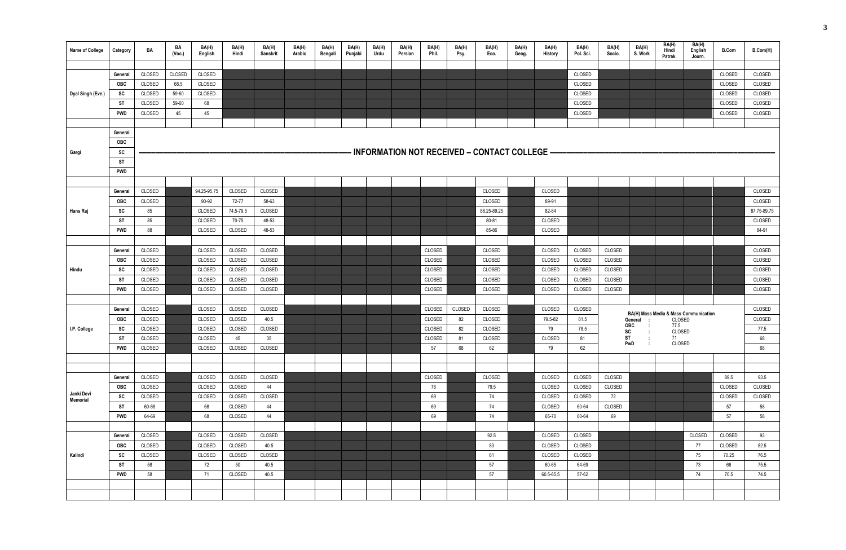| Name of College   | Category         | BA               | BA<br>(Vec.) | BA(H)<br><b>English</b> | BA(H)<br>Hindi | BA(H)<br><b>Sanskrit</b> | BA(H)<br>Arabic | BA(H)<br>Bengali | BA(H)<br>Punjabi | BA(H)<br>Urdu | BA(H)<br>Persian | BA(H)<br>Phil. | BA(H)<br>Psy. | BA(H)<br>Eco.                                  | BA(H)<br>Geog. | BA(H)<br>History | BA(H)<br>Pol. Sci. | BA(H)<br>Socio. | BA(H)<br>S. Work           | BA(H)<br>Hindi<br>Patrak. | BA(H)<br>English<br>Journ.            | <b>B.Com</b>     | B.Com(H)         |
|-------------------|------------------|------------------|--------------|-------------------------|----------------|--------------------------|-----------------|------------------|------------------|---------------|------------------|----------------|---------------|------------------------------------------------|----------------|------------------|--------------------|-----------------|----------------------------|---------------------------|---------------------------------------|------------------|------------------|
|                   |                  |                  |              |                         |                |                          |                 |                  |                  |               |                  |                |               |                                                |                |                  |                    |                 |                            |                           |                                       |                  |                  |
|                   | General          | CLOSED           | CLOSED       | CLOSED                  |                |                          |                 |                  |                  |               |                  |                |               |                                                |                |                  | CLOSED             |                 |                            |                           |                                       | CLOSED           | CLOSED           |
|                   | <b>OBC</b>       | CLOSED           | 68.5         | CLOSED                  |                |                          |                 |                  |                  |               |                  |                |               |                                                |                |                  | CLOSED             |                 |                            |                           |                                       | CLOSED           | CLOSED           |
| Dyal Singh (Eve.) | SC               | CLOSED<br>CLOSED | 59-60        | CLOSED                  |                |                          |                 |                  |                  |               |                  |                |               |                                                |                |                  | CLOSED             |                 |                            |                           |                                       | CLOSED           | CLOSED           |
|                   | ST<br><b>PWD</b> | CLOSED           | 59-60<br>45  | 68<br>45                |                |                          |                 |                  |                  |               |                  |                |               |                                                |                |                  | CLOSED<br>CLOSED   |                 |                            |                           |                                       | CLOSED<br>CLOSED | CLOSED<br>CLOSED |
|                   |                  |                  |              |                         |                |                          |                 |                  |                  |               |                  |                |               |                                                |                |                  |                    |                 |                            |                           |                                       |                  |                  |
|                   | General          |                  |              |                         |                |                          |                 |                  |                  |               |                  |                |               |                                                |                |                  |                    |                 |                            |                           |                                       |                  |                  |
|                   | OBC              |                  |              |                         |                |                          |                 |                  |                  |               |                  |                |               |                                                |                |                  |                    |                 |                            |                           |                                       |                  |                  |
| Gargi             | SC               |                  |              |                         |                |                          |                 |                  |                  |               |                  |                |               | · INFORMATION NOT RECEIVED – CONTACT COLLEGE – |                |                  |                    |                 |                            |                           |                                       |                  |                  |
|                   | ST               |                  |              |                         |                |                          |                 |                  |                  |               |                  |                |               |                                                |                |                  |                    |                 |                            |                           |                                       |                  |                  |
|                   | <b>PWD</b>       |                  |              |                         |                |                          |                 |                  |                  |               |                  |                |               |                                                |                |                  |                    |                 |                            |                           |                                       |                  |                  |
|                   |                  |                  |              |                         |                |                          |                 |                  |                  |               |                  |                |               |                                                |                |                  |                    |                 |                            |                           |                                       |                  |                  |
|                   | General          | CLOSED           |              | 94.25-95.75             | CLOSED         | CLOSED                   |                 |                  |                  |               |                  |                |               | CLOSED                                         |                | CLOSED           |                    |                 |                            |                           |                                       |                  | CLOSED           |
|                   | <b>OBC</b>       | CLOSED           |              | 90-92                   | 72-77          | 58-63                    |                 |                  |                  |               |                  |                |               | CLOSED                                         |                | 89-91            |                    |                 |                            |                           |                                       |                  | CLOSED           |
| Hans Raj          | SC               | 85               |              | CLOSED                  | 74.5-79.5      | CLOSED                   |                 |                  |                  |               |                  |                |               | 88.25-89.25                                    |                | 82-84            |                    |                 |                            |                           |                                       |                  | 87.75-89.75      |
|                   | <b>ST</b>        | 85               |              | CLOSED                  | 70-75          | 48-53                    |                 |                  |                  |               |                  |                |               | 80-81                                          |                | CLOSED           |                    |                 |                            |                           |                                       |                  | CLOSED           |
|                   | <b>PWD</b>       | 88               |              | CLOSED                  | CLOSED         | 48-53                    |                 |                  |                  |               |                  |                |               | 85-86                                          |                | CLOSED           |                    |                 |                            |                           |                                       |                  | 84-91            |
|                   |                  |                  |              |                         |                |                          |                 |                  |                  |               |                  |                |               |                                                |                |                  |                    |                 |                            |                           |                                       |                  |                  |
|                   | General          | CLOSED           |              | CLOSED                  | CLOSED         | CLOSED                   |                 |                  |                  |               |                  | <b>CLOSED</b>  |               | CLOSED                                         |                | CLOSED           | CLOSED             | CLOSED          |                            |                           |                                       |                  | CLOSED           |
|                   | <b>OBC</b>       | CLOSED           |              | CLOSED                  | CLOSED         | CLOSED                   |                 |                  |                  |               |                  | CLOSED         |               | CLOSED                                         |                | CLOSED           | CLOSED             | CLOSED          |                            |                           |                                       |                  | CLOSED           |
| Hindu             | SC               | CLOSED           |              | CLOSED                  | CLOSED         | CLOSED                   |                 |                  |                  |               |                  | CLOSED         |               | CLOSED                                         |                | CLOSED           | CLOSED             | CLOSED          |                            |                           |                                       |                  | CLOSED           |
|                   | <b>ST</b>        | CLOSED           |              | CLOSED                  | CLOSED         | CLOSED                   |                 |                  |                  |               |                  | CLOSED         |               | CLOSED                                         |                | CLOSED           | CLOSED             | CLOSED          |                            |                           |                                       |                  | CLOSED           |
|                   | <b>PWD</b>       | CLOSED           |              | CLOSED                  | CLOSED         | CLOSED                   |                 |                  |                  |               |                  | <b>CLOSED</b>  |               | CLOSED                                         |                | CLOSED           | CLOSED             | CLOSED          |                            |                           |                                       |                  | CLOSED           |
|                   |                  |                  |              |                         |                |                          |                 |                  |                  |               |                  |                |               |                                                |                |                  |                    |                 |                            |                           |                                       |                  |                  |
|                   | General          | CLOSED           |              | <b>CLOSED</b>           | CLOSED         | CLOSED                   |                 |                  |                  |               |                  | CLOSED         | CLOSED        | CLOSED                                         |                | CLOSED           | CLOSED             |                 |                            |                           | BA(H) Mass Media & Mass Communication |                  | CLOSED           |
|                   | <b>OBC</b>       | CLOSED           |              | CLOSED                  | CLOSED         | 40.5                     |                 |                  |                  |               |                  | CLOSED         | 82            | CLOSED                                         |                | 79.5-82          | 81.5               |                 | General<br><b>OBC</b><br>÷ | CLOSED<br>77.5            |                                       |                  | CLOSED           |
| I.P. College      | <b>SC</b>        | CLOSED           |              | CLOSED                  | CLOSED         | CLOSED                   |                 |                  |                  |               |                  | CLOSED         | 82            | CLOSED                                         |                | 79               | 78.5               |                 | <b>SC</b>                  | CLOSED                    |                                       |                  | 77.5             |
|                   | ST               | CLOSED           |              | CLOSED                  | 45             | 35                       |                 |                  |                  |               |                  | CLOSED         | 81            | CLOSED                                         |                | CLOSED           | 81                 | ST              | PwD                        | 71<br>CLOSED              |                                       |                  | 68               |
|                   | <b>PWD</b>       | CLOSED           |              | CLOSED                  | CLOSED         | CLOSED                   |                 |                  |                  |               |                  | 57             | 68            | 62                                             |                | 79               | 62                 |                 |                            |                           |                                       |                  | 68               |
|                   |                  |                  |              |                         |                |                          |                 |                  |                  |               |                  |                |               |                                                |                |                  |                    |                 |                            |                           |                                       |                  |                  |
|                   | General          | CLOSED           |              | CLOSED                  | CLOSED         | CLOSED                   |                 |                  |                  |               |                  | CLOSED         |               | CLOSED                                         |                | CLOSED           | CLOSED             | CLOSED          |                            |                           |                                       | 89.5             | 93.5             |
|                   | OBC              | CLOSED           |              | CLOSED                  | CLOSED         | 44                       |                 |                  |                  |               |                  | 76             |               | 79.5                                           |                | CLOSED           | CLOSED             | CLOSED          |                            |                           |                                       | CLOSED           | CLOSED           |
| Janki Devi        | SC               | CLOSED           |              | CLOSED                  | CLOSED         | CLOSED                   |                 |                  |                  |               |                  | 69             |               | 74                                             |                | CLOSED           | CLOSED             | 72              |                            |                           |                                       | CLOSED           | CLOSED           |
| Memorial          | ST               | 60-68            |              | 68                      | CLOSED         | 44                       |                 |                  |                  |               |                  | 69             |               | 74                                             |                | CLOSED           | 60-64              | CLOSED          |                            |                           |                                       | 57               | 58               |
|                   | <b>PWD</b>       | 64-69            |              | 68                      | CLOSED         | 44                       |                 |                  |                  |               |                  | 69             |               | 74                                             |                | 65-70            | 60-64              | 69              |                            |                           |                                       | 57               | 58               |
|                   |                  |                  |              |                         |                |                          |                 |                  |                  |               |                  |                |               |                                                |                |                  |                    |                 |                            |                           |                                       |                  |                  |
|                   | General          | CLOSED           |              | CLOSED                  | CLOSED         | CLOSED                   |                 |                  |                  |               |                  |                |               | 92.5                                           |                | CLOSED           | CLOSED             |                 |                            |                           | CLOSED                                | CLOSED           | 93               |
|                   | OBC              | CLOSED           |              | CLOSED                  | CLOSED         | 40.5                     |                 |                  |                  |               |                  |                |               | 83                                             |                | CLOSED           | CLOSED             |                 |                            |                           | 77                                    | CLOSED           | 82.5             |
| Kalindi           | SC               | CLOSED           |              | CLOSED                  | CLOSED         | CLOSED                   |                 |                  |                  |               |                  |                |               | 61                                             |                | CLOSED           | CLOSED             |                 |                            |                           | 75                                    | 70.25            | 76.5             |
|                   | ST               | 58               |              | 72                      | 50             | 40.5                     |                 |                  |                  |               |                  |                |               | 57                                             |                | 60-65            | 64-69              |                 |                            |                           | 73                                    | 66               | 75.5             |
|                   | <b>PWD</b>       | 58               |              | 71                      | CLOSED         | 40.5                     |                 |                  |                  |               |                  |                |               | 57                                             |                | 60.5-65.5        | 57-62              |                 |                            |                           | 74                                    | 70.5             | 74.5             |
|                   |                  |                  |              |                         |                |                          |                 |                  |                  |               |                  |                |               |                                                |                |                  |                    |                 |                            |                           |                                       |                  |                  |
|                   |                  |                  |              |                         |                |                          |                 |                  |                  |               |                  |                |               |                                                |                |                  |                    |                 |                            |                           |                                       |                  |                  |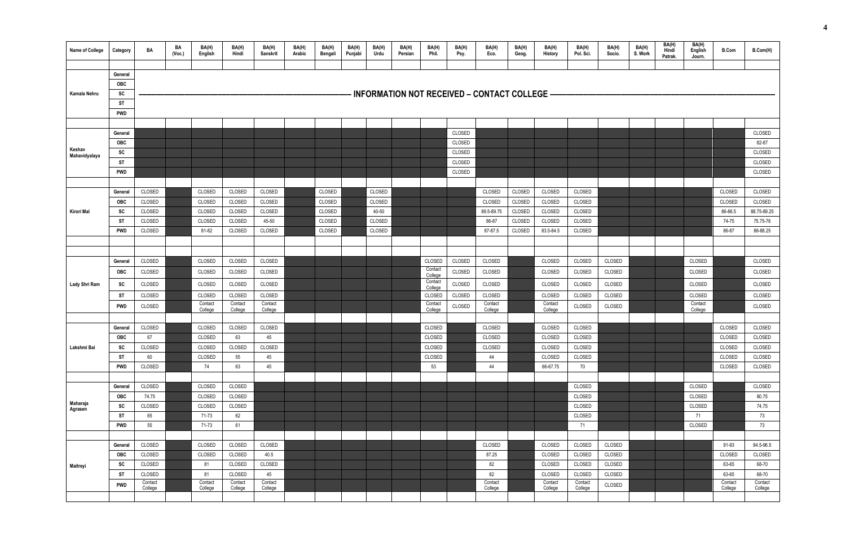| Name of College         | Category              | BA                 | BA<br>(Voc.) | BA(H)<br>English   | BA(H)<br>Hindi     | BA(H)<br><b>Sanskrit</b> | BA(H)<br>Arabic | BA(H)<br>Bengali | BA(H)<br>Punjabi | BA(H)<br>Urdu    | BA(H)<br>Persian | BA(H)<br>Phil.     | BA(H)<br>Psy. | BA(H)<br>Eco.                                  | BA(H)<br>Geog.   | BA(H)<br><b>History</b> | BA(H)<br>Pol. Sci. | BA(H)<br>Socio. | BA(H)<br>S. Work | BA(H)<br>Hindi<br>Patrak. | BA(H)<br>English<br>Journ. | <b>B.Com</b>       | B.Com(H)           |
|-------------------------|-----------------------|--------------------|--------------|--------------------|--------------------|--------------------------|-----------------|------------------|------------------|------------------|------------------|--------------------|---------------|------------------------------------------------|------------------|-------------------------|--------------------|-----------------|------------------|---------------------------|----------------------------|--------------------|--------------------|
|                         |                       |                    |              |                    |                    |                          |                 |                  |                  |                  |                  |                    |               |                                                |                  |                         |                    |                 |                  |                           |                            |                    |                    |
|                         | General               |                    |              |                    |                    |                          |                 |                  |                  |                  |                  |                    |               |                                                |                  |                         |                    |                 |                  |                           |                            |                    |                    |
|                         | <b>OBC</b>            |                    |              |                    |                    |                          |                 |                  |                  |                  |                  |                    |               | ⋅ INFORMATION NOT RECEIVED – CONTACT COLLEGE – |                  |                         |                    |                 |                  |                           |                            |                    |                    |
| Kamala Nehru            | SC<br><b>ST</b>       |                    |              |                    |                    |                          |                 |                  |                  |                  |                  |                    |               |                                                |                  |                         |                    |                 |                  |                           |                            |                    |                    |
|                         | <b>PWD</b>            |                    |              |                    |                    |                          |                 |                  |                  |                  |                  |                    |               |                                                |                  |                         |                    |                 |                  |                           |                            |                    |                    |
|                         |                       |                    |              |                    |                    |                          |                 |                  |                  |                  |                  |                    |               |                                                |                  |                         |                    |                 |                  |                           |                            |                    |                    |
|                         | General               |                    |              |                    |                    |                          |                 |                  |                  |                  |                  |                    | CLOSED        |                                                |                  |                         |                    |                 |                  |                           |                            |                    | <b>CLOSED</b>      |
|                         | <b>OBC</b>            |                    |              |                    |                    |                          |                 |                  |                  |                  |                  |                    | CLOSED        |                                                |                  |                         |                    |                 |                  |                           |                            |                    | 82-87              |
| Keshav<br>Mahavidyalaya | SC                    |                    |              |                    |                    |                          |                 |                  |                  |                  |                  |                    | CLOSED        |                                                |                  |                         |                    |                 |                  |                           |                            |                    | <b>CLOSED</b>      |
|                         | ST                    |                    |              |                    |                    |                          |                 |                  |                  |                  |                  |                    | CLOSED        |                                                |                  |                         |                    |                 |                  |                           |                            |                    | CLOSED             |
|                         | <b>PWD</b>            |                    |              |                    |                    |                          |                 |                  |                  |                  |                  |                    | CLOSED        |                                                |                  |                         |                    |                 |                  |                           |                            |                    | CLOSED             |
|                         |                       | CLOSED             |              | <b>CLOSED</b>      |                    | CLOSED                   |                 |                  |                  |                  |                  |                    |               |                                                |                  | <b>CLOSED</b>           |                    |                 |                  |                           |                            |                    | CLOSED             |
|                         | General<br><b>OBC</b> | CLOSED             |              | CLOSED             | CLOSED<br>CLOSED   | CLOSED                   |                 | CLOSED<br>CLOSED |                  | CLOSED<br>CLOSED |                  |                    |               | CLOSED<br>CLOSED                               | CLOSED<br>CLOSED | CLOSED                  | CLOSED<br>CLOSED   |                 |                  |                           |                            | CLOSED<br>CLOSED   | CLOSED             |
| Kirori Mal              | <b>SC</b>             | CLOSED             |              | CLOSED             | CLOSED             | CLOSED                   |                 | CLOSED           |                  | 40-50            |                  |                    |               | 89.5-89.75                                     | CLOSED           | CLOSED                  | CLOSED             |                 |                  |                           |                            | 86-86.5            | 88.75-89.25        |
|                         | <b>ST</b>             | CLOSED             |              | CLOSED             | CLOSED             | 45-50                    |                 | CLOSED           |                  | CLOSED           |                  |                    |               | 86-87                                          | CLOSED           | CLOSED                  | CLOSED             |                 |                  |                           |                            | 74-75              | 75.75-76           |
|                         | <b>PWD</b>            | CLOSED             |              | 81-82              | CLOSED             | CLOSED                   |                 | CLOSED           |                  | CLOSED           |                  |                    |               | 87-87.5                                        | CLOSED           | 83.5-84.5               | CLOSED             |                 |                  |                           |                            | 86-87              | 88-88.25           |
|                         |                       |                    |              |                    |                    |                          |                 |                  |                  |                  |                  |                    |               |                                                |                  |                         |                    |                 |                  |                           |                            |                    |                    |
|                         |                       |                    |              |                    |                    |                          |                 |                  |                  |                  |                  |                    |               |                                                |                  |                         |                    |                 |                  |                           |                            |                    |                    |
|                         | General               | CLOSED             |              | <b>CLOSED</b>      | CLOSED             | CLOSED                   |                 |                  |                  |                  |                  | CLOSED             | CLOSED        | CLOSED                                         |                  | <b>CLOSED</b>           | CLOSED             | CLOSED          |                  |                           | <b>CLOSED</b>              |                    | CLOSED             |
|                         | <b>OBC</b>            | CLOSED             |              | <b>CLOSED</b>      | CLOSED             | CLOSED                   |                 |                  |                  |                  |                  | Contact<br>College | <b>CLOSED</b> | CLOSED                                         |                  | <b>CLOSED</b>           | CLOSED             | CLOSED          |                  |                           | CLOSED                     |                    | <b>CLOSED</b>      |
| Lady Shri Ram           | <b>SC</b>             | CLOSED             |              | CLOSED             | CLOSED             | CLOSED                   |                 |                  |                  |                  |                  | Contact<br>College | CLOSED        | CLOSED                                         |                  | CLOSED                  | CLOSED             | CLOSED          |                  |                           | CLOSED                     |                    | CLOSED             |
|                         | <b>ST</b>             | CLOSED             |              | CLOSED             | CLOSED             | CLOSED                   |                 |                  |                  |                  |                  | CLOSED             | CLOSED        | CLOSED                                         |                  | CLOSED                  | CLOSED             | CLOSED          |                  |                           | CLOSED                     |                    | CLOSED             |
|                         | <b>PWD</b>            | CLOSED             |              | Contact<br>College | Contact<br>College | Contact<br>College       |                 |                  |                  |                  |                  | Contact<br>College | CLOSED        | Contact<br>College                             |                  | Contact<br>College      | CLOSED             | CLOSED          |                  |                           | Contact<br>College         |                    | CLOSED             |
|                         |                       |                    |              |                    |                    |                          |                 |                  |                  |                  |                  |                    |               |                                                |                  |                         |                    |                 |                  |                           |                            |                    |                    |
|                         | General               | CLOSED             |              | CLOSED             | CLOSED             | CLOSED                   |                 |                  |                  |                  |                  | CLOSED             |               | CLOSED                                         |                  | CLOSED                  | CLOSED             |                 |                  |                           |                            | CLOSED             | CLOSED             |
|                         | <b>OBC</b>            | 67                 |              | CLOSED             | 63                 | 45                       |                 |                  |                  |                  |                  | CLOSED             |               | CLOSED                                         |                  | CLOSED                  | CLOSED             |                 |                  |                           |                            | CLOSED             | CLOSED             |
| Lakshmi Bai             | <b>SC</b>             | CLOSED             |              | CLOSED             | CLOSED             | CLOSED                   |                 |                  |                  |                  |                  | CLOSED             |               | CLOSED                                         |                  | CLOSED                  | CLOSED             |                 |                  |                           |                            | CLOSED             | CLOSED             |
|                         | <b>ST</b>             | 60                 |              | CLOSED             | 55                 | 45                       |                 |                  |                  |                  |                  | CLOSED             |               | 44                                             |                  | CLOSED                  | CLOSED             |                 |                  |                           |                            | CLOSED             | CLOSED             |
|                         | <b>PWD</b>            | CLOSED             |              | 74                 | 63                 | 45                       |                 |                  |                  |                  |                  | 53                 |               | 44                                             |                  | 66-67.75                | 70                 |                 |                  |                           |                            | CLOSED             | CLOSED             |
|                         |                       |                    |              |                    |                    |                          |                 |                  |                  |                  |                  |                    |               |                                                |                  |                         |                    |                 |                  |                           |                            |                    |                    |
|                         | General<br>OBC        | CLOSED<br>74.75    |              | CLOSED<br>CLOSED   | CLOSED<br>CLOSED   |                          |                 |                  |                  |                  |                  |                    |               |                                                |                  |                         | CLOSED<br>CLOSED   |                 |                  |                           | CLOSED<br>CLOSED           |                    | CLOSED<br>80.75    |
| Maharaja                | <b>SC</b>             | CLOSED             |              | CLOSED             | CLOSED             |                          |                 |                  |                  |                  |                  |                    |               |                                                |                  |                         | CLOSED             |                 |                  |                           | CLOSED                     |                    | 74.75              |
| Agrasen                 | ST                    | 65                 |              | 71-73              | 62                 |                          |                 |                  |                  |                  |                  |                    |               |                                                |                  |                         | CLOSED             |                 |                  |                           | 71                         |                    | 73                 |
|                         | <b>PWD</b>            | 55                 |              | 71-73              | 61                 |                          |                 |                  |                  |                  |                  |                    |               |                                                |                  |                         | 71                 |                 |                  |                           | CLOSED                     |                    | 73                 |
|                         |                       |                    |              |                    |                    |                          |                 |                  |                  |                  |                  |                    |               |                                                |                  |                         |                    |                 |                  |                           |                            |                    |                    |
|                         | General               | CLOSED             |              | CLOSED             | CLOSED             | CLOSED                   |                 |                  |                  |                  |                  |                    |               | CLOSED                                         |                  | CLOSED                  | CLOSED             | CLOSED          |                  |                           |                            | 91-93              | 94.5-96.5          |
|                         | OBC                   | CLOSED             |              | CLOSED             | CLOSED             | 40.5                     |                 |                  |                  |                  |                  |                    |               | 87.25                                          |                  | CLOSED                  | CLOSED             | CLOSED          |                  |                           |                            | CLOSED             | CLOSED             |
| Maitreyi                | SC                    | CLOSED             |              | 81                 | CLOSED             | CLOSED                   |                 |                  |                  |                  |                  |                    |               | 82                                             |                  | CLOSED                  | CLOSED             | CLOSED          |                  |                           |                            | 63-65              | 68-70              |
|                         | <b>ST</b>             | CLOSED             |              | 81                 | CLOSED             | 45                       |                 |                  |                  |                  |                  |                    |               | 82                                             |                  | CLOSED                  | CLOSED             | CLOSED          |                  |                           |                            | 63-65              | 68-70              |
|                         | <b>PWD</b>            | Contact<br>College |              | Contact<br>College | Contact<br>College | Contact<br>College       |                 |                  |                  |                  |                  |                    |               | Contact<br>College                             |                  | Contact<br>College      | Contact<br>College | CLOSED          |                  |                           |                            | Contact<br>College | Contact<br>College |
|                         |                       |                    |              |                    |                    |                          |                 |                  |                  |                  |                  |                    |               |                                                |                  |                         |                    |                 |                  |                           |                            |                    |                    |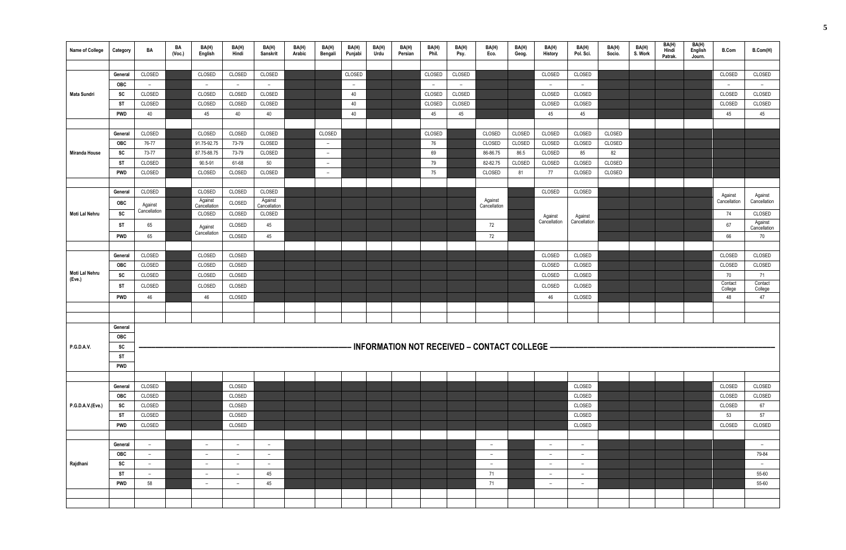| Name of College          | Category              | BA                       | BA<br>(Vec.) | BA(H)<br>English         | BA(H)<br>Hindi | BA(H)<br>Sanskrit        | BA(H)<br>Arabic | BA(H)<br>Bengali         | BA(H)<br>Punjabi | BA(H)<br>Urdu | BA(H)<br>Persian | BA(H)<br>Phil.           | BA(H)<br>Psy. | BA(H)<br>Eco.                                  | BA(H)<br>Geog. | BA(H)<br>History         | BA(H)<br>Pol. Sci.       | BA(H)<br>Socio. | BA(H)<br>S. Work | BA(H)<br>Hindi<br>Patrak. | BA(H)<br>English<br>Journ. | <b>B.Com</b>             | B.Com(H)                 |
|--------------------------|-----------------------|--------------------------|--------------|--------------------------|----------------|--------------------------|-----------------|--------------------------|------------------|---------------|------------------|--------------------------|---------------|------------------------------------------------|----------------|--------------------------|--------------------------|-----------------|------------------|---------------------------|----------------------------|--------------------------|--------------------------|
|                          |                       |                          |              |                          |                |                          |                 |                          |                  |               |                  |                          |               |                                                |                |                          |                          |                 |                  |                           |                            |                          |                          |
|                          | General               | CLOSED                   |              | CLOSED                   | CLOSED         | CLOSED                   |                 |                          | CLOSED           |               |                  | CLOSED                   | CLOSED        |                                                |                | CLOSED                   | CLOSED                   |                 |                  |                           |                            | CLOSED                   | CLOSED                   |
|                          | <b>OBC</b>            | $ \,$                    |              | $ \,$                    | $ \,$          | $\sim$                   |                 |                          | $ \,$            |               |                  | $\overline{\phantom{a}}$ | $ \,$         |                                                |                | $ \,$                    | $\sim$                   |                 |                  |                           |                            | $\overline{\phantom{a}}$ | $\overline{\phantom{a}}$ |
| Mata Sundri              | SC                    | CLOSED                   |              | CLOSED                   | CLOSED         | CLOSED                   |                 |                          | 40               |               |                  | CLOSED                   | CLOSED        |                                                |                | CLOSED                   | CLOSED                   |                 |                  |                           |                            | CLOSED                   | CLOSED                   |
|                          | <b>ST</b>             | CLOSED                   |              | CLOSED                   | CLOSED         | CLOSED                   |                 |                          | 40               |               |                  | CLOSED                   | CLOSED        |                                                |                | CLOSED                   | CLOSED                   |                 |                  |                           |                            | CLOSED                   | CLOSED                   |
|                          | <b>PWD</b>            | 40                       |              | 45                       | 40             | 40                       |                 |                          | 40               |               |                  | 45                       | 45            |                                                |                | 45                       | 45                       |                 |                  |                           |                            | 45                       | 45                       |
|                          |                       |                          |              |                          |                |                          |                 |                          |                  |               |                  |                          |               |                                                |                |                          |                          |                 |                  |                           |                            |                          |                          |
|                          | General               | CLOSED                   |              | CLOSED                   | CLOSED         | CLOSED                   |                 | CLOSED                   |                  |               |                  | CLOSED                   |               | CLOSED                                         | CLOSED         | CLOSED                   | CLOSED                   | CLOSED          |                  |                           |                            |                          |                          |
|                          | <b>OBC</b>            | 76-77                    |              | 91.75-92.75              | 73-79          | CLOSED                   |                 | $\sim$                   |                  |               |                  | 76                       |               | CLOSED                                         | CLOSED         | CLOSED                   | CLOSED                   | CLOSED          |                  |                           |                            |                          |                          |
| Miranda House            | SC                    | 73-77                    |              | 87.75-88.75              | 73-79          | CLOSED                   |                 | $\overline{\phantom{a}}$ |                  |               |                  | 69                       |               | 86-86.75                                       | 86.5           | CLOSED                   | 85                       | 82              |                  |                           |                            |                          |                          |
|                          | <b>ST</b>             | CLOSED                   |              | 90.5-91                  | 61-68          | 50                       |                 | $\overline{\phantom{a}}$ |                  |               |                  | 79                       |               | 82-82.75                                       | CLOSED         | CLOSED                   | CLOSED                   | CLOSED          |                  |                           |                            |                          |                          |
|                          | <b>PWD</b>            | CLOSED                   |              | CLOSED                   | CLOSED         | CLOSED                   |                 | $\overline{\phantom{0}}$ |                  |               |                  | 75                       |               | CLOSED                                         | 81             | 77                       | CLOSED                   | CLOSED          |                  |                           |                            |                          |                          |
|                          |                       | CLOSED                   |              | CLOSED                   | CLOSED         | CLOSED                   |                 |                          |                  |               |                  |                          |               |                                                |                | CLOSED                   | CLOSED                   |                 |                  |                           |                            |                          |                          |
|                          | General               |                          |              | Against                  |                | Against                  |                 |                          |                  |               |                  |                          |               | Against                                        |                |                          |                          |                 |                  |                           |                            | Against<br>Cancellation  | Against<br>Cancellation  |
|                          | <b>OBC</b>            | Against<br>Cancellation  |              | Cancellation             | CLOSED         | Cancellation             |                 |                          |                  |               |                  |                          |               | Cancellation                                   |                |                          |                          |                 |                  |                           |                            |                          |                          |
| Moti Lal Nehru           | SC                    |                          |              | CLOSED                   | CLOSED         | CLOSED                   |                 |                          |                  |               |                  |                          |               |                                                |                | Against<br>Cancellation  | Against<br>Cancellation  |                 |                  |                           |                            | 74                       | CLOSED<br>Against        |
|                          | <b>ST</b>             | 65                       |              | Against                  | CLOSED         | 45                       |                 |                          |                  |               |                  |                          |               | 72                                             |                |                          |                          |                 |                  |                           |                            | 67                       | Cancellation             |
|                          | <b>PWD</b>            | 65                       |              | Cancellation             | CLOSED         | 45                       |                 |                          |                  |               |                  |                          |               | 72                                             |                |                          |                          |                 |                  |                           |                            | 66                       | 70                       |
|                          |                       |                          |              |                          |                |                          |                 |                          |                  |               |                  |                          |               |                                                |                |                          |                          |                 |                  |                           |                            |                          |                          |
|                          | General               | CLOSED                   |              | CLOSED                   | CLOSED         |                          |                 |                          |                  |               |                  |                          |               |                                                |                | CLOSED                   | CLOSED                   |                 |                  |                           |                            | CLOSED                   | CLOSED                   |
|                          | <b>OBC</b>            | CLOSED                   |              | CLOSED                   | CLOSED         |                          |                 |                          |                  |               |                  |                          |               |                                                |                | CLOSED                   | CLOSED                   |                 |                  |                           |                            | CLOSED                   | CLOSED                   |
| Moti Lal Nehru<br>(Eve.) | <b>SC</b>             | CLOSED                   |              | CLOSED                   | CLOSED         |                          |                 |                          |                  |               |                  |                          |               |                                                |                | CLOSED                   | CLOSED                   |                 |                  |                           |                            | 70<br>Contact            | 71<br>Contact            |
|                          | <b>ST</b>             | CLOSED                   |              | CLOSED                   | CLOSED         |                          |                 |                          |                  |               |                  |                          |               |                                                |                | CLOSED                   | CLOSED                   |                 |                  |                           |                            | College                  | College                  |
|                          | <b>PWD</b>            | 46                       |              | 46                       | CLOSED         |                          |                 |                          |                  |               |                  |                          |               |                                                |                | 46                       | CLOSED                   |                 |                  |                           |                            | 48                       | 47                       |
|                          |                       |                          |              |                          |                |                          |                 |                          |                  |               |                  |                          |               |                                                |                |                          |                          |                 |                  |                           |                            |                          |                          |
|                          |                       |                          |              |                          |                |                          |                 |                          |                  |               |                  |                          |               |                                                |                |                          |                          |                 |                  |                           |                            |                          |                          |
|                          | General               |                          |              |                          |                |                          |                 |                          |                  |               |                  |                          |               |                                                |                |                          |                          |                 |                  |                           |                            |                          |                          |
|                          | <b>OBC</b>            |                          |              |                          |                |                          |                 |                          |                  |               |                  |                          |               |                                                |                |                          |                          |                 |                  |                           |                            |                          |                          |
| <b>P.G.D.A.V.</b>        | SC                    |                          |              |                          |                |                          |                 |                          |                  |               |                  |                          |               | INFORMATION NOT RECEIVED - CONTACT COLLEGE --- |                |                          |                          |                 |                  |                           |                            |                          |                          |
|                          | <b>ST</b>             |                          |              |                          |                |                          |                 |                          |                  |               |                  |                          |               |                                                |                |                          |                          |                 |                  |                           |                            |                          |                          |
|                          | <b>PWD</b>            |                          |              |                          |                |                          |                 |                          |                  |               |                  |                          |               |                                                |                |                          |                          |                 |                  |                           |                            |                          |                          |
|                          |                       | CLOSED                   |              |                          | CLOSED         |                          |                 |                          |                  |               |                  |                          |               |                                                |                |                          | CLOSED                   |                 |                  |                           |                            | CLOSED                   | CLOSED                   |
|                          | General<br><b>OBC</b> | CLOSED                   |              |                          | CLOSED         |                          |                 |                          |                  |               |                  |                          |               |                                                |                |                          | CLOSED                   |                 |                  |                           |                            | CLOSED                   | CLOSED                   |
| P.G.D.A.V.(Eve.)         | SC                    | CLOSED                   |              |                          | CLOSED         |                          |                 |                          |                  |               |                  |                          |               |                                                |                |                          | CLOSED                   |                 |                  |                           |                            | CLOSED                   | 67                       |
|                          | ST                    | CLOSED                   |              |                          | CLOSED         |                          |                 |                          |                  |               |                  |                          |               |                                                |                |                          | CLOSED                   |                 |                  |                           |                            | 53                       | 57                       |
|                          | <b>PWD</b>            | CLOSED                   |              |                          | CLOSED         |                          |                 |                          |                  |               |                  |                          |               |                                                |                |                          | CLOSED                   |                 |                  |                           |                            | CLOSED                   | CLOSED                   |
|                          |                       |                          |              |                          |                |                          |                 |                          |                  |               |                  |                          |               |                                                |                |                          |                          |                 |                  |                           |                            |                          |                          |
|                          | General               | $ \,$                    |              | $ \,$                    | $ \,$          | $\sim$                   |                 |                          |                  |               |                  |                          |               | $-$                                            |                | $-$                      | $\sim$                   |                 |                  |                           |                            |                          | $ \,$                    |
|                          | <b>OBC</b>            | $-$                      |              | $\overline{\phantom{m}}$ | $-$            | $\overline{\phantom{a}}$ |                 |                          |                  |               |                  |                          |               | $-$                                            |                | $\overline{\phantom{a}}$ | $\overline{\phantom{a}}$ |                 |                  |                           |                            |                          | 79-84                    |
| Rajdhani                 | SC                    | $ \,$                    |              | $-$                      | $ \,$          | $-$                      |                 |                          |                  |               |                  |                          |               | $-$                                            |                | $-$                      | $ \,$                    |                 |                  |                           |                            |                          | $\overline{\phantom{a}}$ |
|                          | ST                    | $\overline{\phantom{0}}$ |              | $-$                      | $\sim$         | 45                       |                 |                          |                  |               |                  |                          |               | 71                                             |                | $-$                      | $ \,$                    |                 |                  |                           |                            |                          | 55-60                    |
|                          | <b>PWD</b>            | 58                       |              | $\overline{a}$           | $ \,$          | 45                       |                 |                          |                  |               |                  |                          |               | 71                                             |                | $-$                      | $ \,$                    |                 |                  |                           |                            |                          | 55-60                    |
|                          |                       |                          |              |                          |                |                          |                 |                          |                  |               |                  |                          |               |                                                |                |                          |                          |                 |                  |                           |                            |                          |                          |
|                          |                       |                          |              |                          |                |                          |                 |                          |                  |               |                  |                          |               |                                                |                |                          |                          |                 |                  |                           |                            |                          |                          |
|                          |                       |                          |              |                          |                |                          |                 |                          |                  |               |                  |                          |               |                                                |                |                          |                          |                 |                  |                           |                            |                          |                          |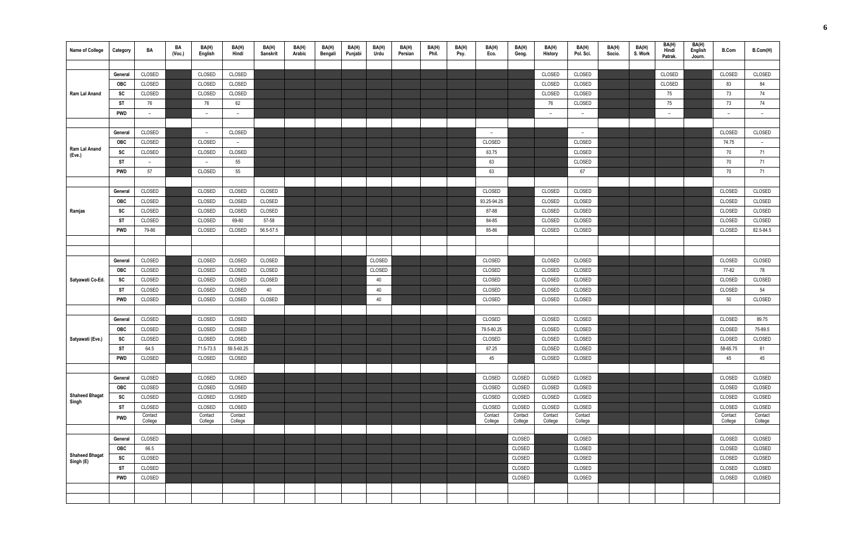| <b>Name of College</b>             | Category   | BA                 | BA<br>(Vec.) | BA(H)<br>English   | BA(H)<br>Hindi     | BA(H)<br>Sanskrit | BA(H)<br>Arabic | BA(H)<br>Bengali | BA(H)<br>Punjabi | BA(H)<br>Urdu | BA(H)<br>Persian | BA(H)<br>Phil. | BA(H)<br>Psy. | BA(H)<br>Eco.            | BA(H)<br>Geog.     | BA(H)<br>History   | BA(H)<br>Pol. Sci. | BA(H)<br>Socio. | BA(H)<br>S. Work | BA(H)<br>Hindi<br>Patrak. | BA(H)<br>English<br>Journ. | <b>B.Com</b>             | B.Com(H)           |
|------------------------------------|------------|--------------------|--------------|--------------------|--------------------|-------------------|-----------------|------------------|------------------|---------------|------------------|----------------|---------------|--------------------------|--------------------|--------------------|--------------------|-----------------|------------------|---------------------------|----------------------------|--------------------------|--------------------|
|                                    |            |                    |              |                    |                    |                   |                 |                  |                  |               |                  |                |               |                          |                    |                    |                    |                 |                  |                           |                            |                          |                    |
|                                    | General    | CLOSED             |              | CLOSED             | CLOSED             |                   |                 |                  |                  |               |                  |                |               |                          |                    | CLOSED             | CLOSED             |                 |                  | CLOSED                    |                            | CLOSED                   | CLOSED             |
|                                    | <b>OBC</b> | CLOSED             |              | CLOSED             | CLOSED             |                   |                 |                  |                  |               |                  |                |               |                          |                    | CLOSED             | CLOSED             |                 |                  | CLOSED                    |                            | 83                       | 84                 |
| Ram Lal Anand                      | SC         | CLOSED             |              | CLOSED             | CLOSED             |                   |                 |                  |                  |               |                  |                |               |                          |                    | CLOSED             | CLOSED             |                 |                  | 75                        |                            | 73                       | 74                 |
|                                    | ST         | 76                 |              | 76                 | 62                 |                   |                 |                  |                  |               |                  |                |               |                          |                    | 76                 | CLOSED             |                 |                  | 75                        |                            | 73                       | 74                 |
|                                    | <b>PWD</b> | $-$                |              | $ \,$              | $ \,$              |                   |                 |                  |                  |               |                  |                |               |                          |                    | $ \,$              | $ \,$              |                 |                  | $ \,$                     |                            | $\overline{\phantom{a}}$ | $\overline{a}$     |
|                                    |            |                    |              |                    |                    |                   |                 |                  |                  |               |                  |                |               |                          |                    |                    |                    |                 |                  |                           |                            |                          |                    |
|                                    | General    | CLOSED             |              | $ \,$              | CLOSED             |                   |                 |                  |                  |               |                  |                |               | $\overline{\phantom{a}}$ |                    |                    | $ \,$              |                 |                  |                           |                            | CLOSED                   | CLOSED             |
|                                    | <b>OBC</b> | CLOSED             |              | CLOSED             | $ \,$              |                   |                 |                  |                  |               |                  |                |               | CLOSED                   |                    |                    | CLOSED             |                 |                  |                           |                            | 74.75                    | $-$                |
| Ram Lal Anand<br>(Eve.)            | SC         | CLOSED             |              | CLOSED             | CLOSED             |                   |                 |                  |                  |               |                  |                |               | 63.75                    |                    |                    | CLOSED             |                 |                  |                           |                            | 70                       | 71                 |
|                                    | <b>ST</b>  | $-$                |              | $ \,$              | 55                 |                   |                 |                  |                  |               |                  |                |               | 63                       |                    |                    | CLOSED             |                 |                  |                           |                            | 70                       | 71                 |
|                                    | <b>PWD</b> | 57                 |              | CLOSED             | 55                 |                   |                 |                  |                  |               |                  |                |               | 63                       |                    |                    | 67                 |                 |                  |                           |                            | 70                       | 71                 |
|                                    |            |                    |              |                    |                    |                   |                 |                  |                  |               |                  |                |               |                          |                    |                    |                    |                 |                  |                           |                            |                          |                    |
|                                    | General    | CLOSED             |              | CLOSED             | CLOSED             | CLOSED            |                 |                  |                  |               |                  |                |               | CLOSED                   |                    | CLOSED             | CLOSED             |                 |                  |                           |                            | CLOSED                   | CLOSED             |
|                                    | <b>OBC</b> | CLOSED             |              | CLOSED             | CLOSED             | CLOSED            |                 |                  |                  |               |                  |                |               | 93.25-94.25              |                    | CLOSED             | CLOSED             |                 |                  |                           |                            | CLOSED                   | CLOSED             |
| Ramjas                             | SC         | CLOSED             |              | CLOSED             | CLOSED             | CLOSED            |                 |                  |                  |               |                  |                |               | 87-88                    |                    | CLOSED             | CLOSED             |                 |                  |                           |                            | CLOSED                   | CLOSED             |
|                                    | ST         | CLOSED             |              | CLOSED             | 69-80              | 57-58             |                 |                  |                  |               |                  |                |               | 84-85                    |                    | CLOSED             | CLOSED             |                 |                  |                           |                            | CLOSED                   | CLOSED             |
|                                    | <b>PWD</b> | 79-86              |              | CLOSED             | CLOSED             | 56.5-57.5         |                 |                  |                  |               |                  |                |               | 85-86                    |                    | CLOSED             | CLOSED             |                 |                  |                           |                            | CLOSED                   | 82.5-84.5          |
|                                    |            |                    |              |                    |                    |                   |                 |                  |                  |               |                  |                |               |                          |                    |                    |                    |                 |                  |                           |                            |                          |                    |
|                                    |            |                    |              |                    |                    |                   |                 |                  |                  |               |                  |                |               |                          |                    |                    |                    |                 |                  |                           |                            |                          |                    |
|                                    | General    | CLOSED             |              | CLOSED             | CLOSED             | CLOSED            |                 |                  |                  | CLOSED        |                  |                |               | CLOSED                   |                    | CLOSED             | CLOSED             |                 |                  |                           |                            | CLOSED                   | CLOSED             |
|                                    | <b>OBC</b> | CLOSED             |              | CLOSED             | CLOSED             | CLOSED            |                 |                  |                  | CLOSED        |                  |                |               | CLOSED                   |                    | CLOSED             | CLOSED             |                 |                  |                           |                            | 77-82                    | 78                 |
| Satyawati Co-Ed.                   | SC         | CLOSED             |              | CLOSED             | CLOSED             | CLOSED            |                 |                  |                  | 40            |                  |                |               | CLOSED                   |                    | CLOSED             | CLOSED             |                 |                  |                           |                            | CLOSED                   | CLOSED             |
|                                    | ST         | CLOSED             |              | CLOSED             | CLOSED             | 40                |                 |                  |                  | 40            |                  |                |               | CLOSED                   |                    | CLOSED             | CLOSED             |                 |                  |                           |                            | CLOSED                   | 54                 |
|                                    | PWD        | CLOSED             |              | CLOSED             | CLOSED             | CLOSED            |                 |                  |                  | 40            |                  |                |               | CLOSED                   |                    | CLOSED             | CLOSED             |                 |                  |                           |                            | 50                       | CLOSED             |
|                                    |            |                    |              |                    |                    |                   |                 |                  |                  |               |                  |                |               |                          |                    |                    |                    |                 |                  |                           |                            |                          |                    |
|                                    | General    | CLOSED             |              | CLOSED             | CLOSED             |                   |                 |                  |                  |               |                  |                |               | CLOSED                   |                    | CLOSED             | CLOSED             |                 |                  |                           |                            | CLOSED                   | 89.75              |
|                                    | <b>OBC</b> | CLOSED             |              | CLOSED             | CLOSED             |                   |                 |                  |                  |               |                  |                |               | 79.5-80.25               |                    | CLOSED             | CLOSED             |                 |                  |                           |                            | CLOSED                   | 75-89.5            |
| Satyawati (Eve.)                   | SC         | CLOSED             |              | CLOSED             | CLOSED             |                   |                 |                  |                  |               |                  |                |               | CLOSED                   |                    | CLOSED             | CLOSED             |                 |                  |                           |                            | CLOSED                   | CLOSED             |
|                                    | <b>ST</b>  | 64.5               |              | 71.5-73.5          | 59.5-60.25         |                   |                 |                  |                  |               |                  |                |               | 67.25                    |                    | CLOSED             | CLOSED             |                 |                  |                           |                            | 58-65.75                 | 61                 |
|                                    | <b>PWD</b> | CLOSED             |              | CLOSED             | CLOSED             |                   |                 |                  |                  |               |                  |                |               | 45                       |                    | CLOSED             | CLOSED             |                 |                  |                           |                            | 45                       | 45                 |
|                                    |            |                    |              |                    |                    |                   |                 |                  |                  |               |                  |                |               |                          |                    |                    |                    |                 |                  |                           |                            |                          |                    |
|                                    | General    | CLOSED             |              | CLOSED             | CLOSED             |                   |                 |                  |                  |               |                  |                |               | CLOSED                   | CLOSED             | CLOSED             | CLOSED             |                 |                  |                           |                            | CLOSED                   | CLOSED             |
|                                    | <b>OBC</b> | CLOSED             |              | CLOSED             | CLOSED             |                   |                 |                  |                  |               |                  |                |               | CLOSED                   | CLOSED             | CLOSED             | CLOSED             |                 |                  |                           |                            | CLOSED                   | CLOSED             |
| <b>Shaheed Bhagat</b><br>Singh     | SC         | CLOSED             |              | CLOSED             | CLOSED             |                   |                 |                  |                  |               |                  |                |               | CLOSED                   | CLOSED             | CLOSED             | CLOSED             |                 |                  |                           |                            | CLOSED                   | CLOSED             |
|                                    | <b>ST</b>  | CLOSED             |              | CLOSED             | CLOSED             |                   |                 |                  |                  |               |                  |                |               | CLOSED                   | CLOSED             | CLOSED             | CLOSED             |                 |                  |                           |                            | CLOSED                   | CLOSED             |
|                                    | <b>PWD</b> | Contact<br>College |              | Contact<br>College | Contact<br>College |                   |                 |                  |                  |               |                  |                |               | Contact<br>College       | Contact<br>College | Contact<br>College | Contact<br>College |                 |                  |                           |                            | Contact<br>College       | Contact<br>College |
|                                    |            |                    |              |                    |                    |                   |                 |                  |                  |               |                  |                |               |                          |                    |                    |                    |                 |                  |                           |                            |                          |                    |
|                                    | General    | CLOSED             |              |                    |                    |                   |                 |                  |                  |               |                  |                |               |                          | CLOSED             |                    | CLOSED             |                 |                  |                           |                            | CLOSED                   | CLOSED             |
|                                    | <b>OBC</b> | 66.5               |              |                    |                    |                   |                 |                  |                  |               |                  |                |               |                          | CLOSED             |                    | CLOSED             |                 |                  |                           |                            | CLOSED                   | CLOSED             |
| <b>Shaheed Bhagat</b><br>Singh (E) | SC         | CLOSED             |              |                    |                    |                   |                 |                  |                  |               |                  |                |               |                          | CLOSED             |                    | CLOSED             |                 |                  |                           |                            | CLOSED                   | CLOSED             |
|                                    | <b>ST</b>  | CLOSED             |              |                    |                    |                   |                 |                  |                  |               |                  |                |               |                          | CLOSED             |                    | CLOSED             |                 |                  |                           |                            | CLOSED                   | CLOSED             |
|                                    | <b>PWD</b> | CLOSED             |              |                    |                    |                   |                 |                  |                  |               |                  |                |               |                          | CLOSED             |                    | CLOSED             |                 |                  |                           |                            | CLOSED                   | CLOSED             |
|                                    |            |                    |              |                    |                    |                   |                 |                  |                  |               |                  |                |               |                          |                    |                    |                    |                 |                  |                           |                            |                          |                    |
|                                    |            |                    |              |                    |                    |                   |                 |                  |                  |               |                  |                |               |                          |                    |                    |                    |                 |                  |                           |                            |                          |                    |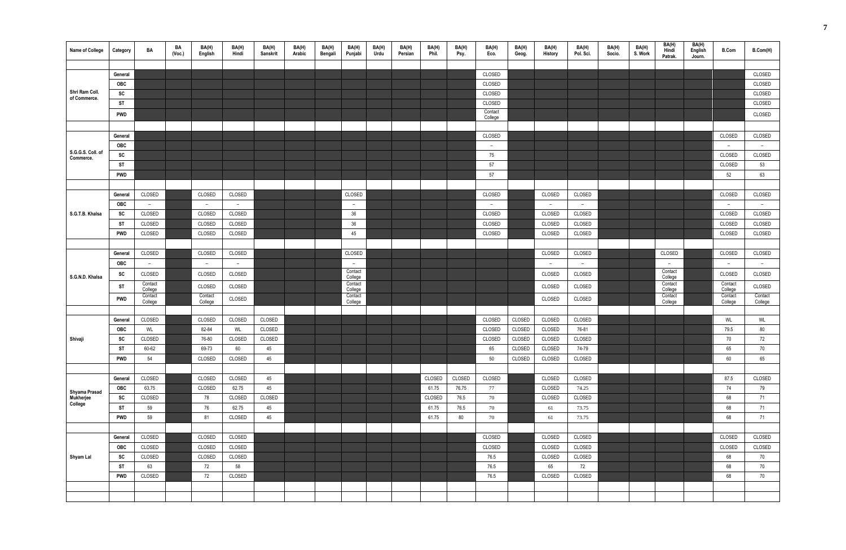| <b>Name of College</b>         | Category   | BA                 | BA<br>(Vec.) | BA(H)<br>English   | BA(H)<br>Hindi | BA(H)<br>Sanskrit | BA(H)<br>Arabic | BA(H)<br>Bengali | BA(H)<br>Punjabi   | BA(H)<br>Urdu | BA(H)<br>Persian | BA(H)<br>Phil. | BA(H)<br>Psy. | BA(H)<br>Eco.      | BA(H)<br>Geog. | BA(H)<br>History | BA(H)<br>Pol. Sci. | BA(H)<br>Socio. | BA(H)<br>S. Work | BA(H)<br>Hindi<br>Patrak. | BA(H)<br>English<br>Journ. | <b>B.Com</b>             | B.Com(H) |
|--------------------------------|------------|--------------------|--------------|--------------------|----------------|-------------------|-----------------|------------------|--------------------|---------------|------------------|----------------|---------------|--------------------|----------------|------------------|--------------------|-----------------|------------------|---------------------------|----------------------------|--------------------------|----------|
|                                |            |                    |              |                    |                |                   |                 |                  |                    |               |                  |                |               |                    |                |                  |                    |                 |                  |                           |                            |                          |          |
|                                | General    |                    |              |                    |                |                   |                 |                  |                    |               |                  |                |               | CLOSED             |                |                  |                    |                 |                  |                           |                            |                          | CLOSED   |
| Shri Ram Coll.                 | OBC        |                    |              |                    |                |                   |                 |                  |                    |               |                  |                |               | CLOSED             |                |                  |                    |                 |                  |                           |                            |                          | CLOSED   |
| of Commerce.                   | SC         |                    |              |                    |                |                   |                 |                  |                    |               |                  |                |               | CLOSED             |                |                  |                    |                 |                  |                           |                            |                          | CLOSED   |
|                                | <b>ST</b>  |                    |              |                    |                |                   |                 |                  |                    |               |                  |                |               | CLOSED             |                |                  |                    |                 |                  |                           |                            |                          | CLOSED   |
|                                | <b>PWD</b> |                    |              |                    |                |                   |                 |                  |                    |               |                  |                |               | Contact<br>College |                |                  |                    |                 |                  |                           |                            |                          | CLOSED   |
|                                |            |                    |              |                    |                |                   |                 |                  |                    |               |                  |                |               |                    |                |                  |                    |                 |                  |                           |                            |                          |          |
|                                | General    |                    |              |                    |                |                   |                 |                  |                    |               |                  |                |               | CLOSED             |                |                  |                    |                 |                  |                           |                            | CLOSED                   | CLOSED   |
|                                | <b>OBC</b> |                    |              |                    |                |                   |                 |                  |                    |               |                  |                |               | $ \,$              |                |                  |                    |                 |                  |                           |                            | $\overline{\phantom{a}}$ | $-$      |
| S.G.G.S. Coll. of<br>Commerce. | SC         |                    |              |                    |                |                   |                 |                  |                    |               |                  |                |               | 75                 |                |                  |                    |                 |                  |                           |                            | CLOSED                   | CLOSED   |
|                                | <b>ST</b>  |                    |              |                    |                |                   |                 |                  |                    |               |                  |                |               | 57                 |                |                  |                    |                 |                  |                           |                            | CLOSED                   | 53       |
|                                | <b>PWD</b> |                    |              |                    |                |                   |                 |                  |                    |               |                  |                |               | 57                 |                |                  |                    |                 |                  |                           |                            | 52                       | 63       |
|                                |            |                    |              |                    |                |                   |                 |                  |                    |               |                  |                |               |                    |                |                  |                    |                 |                  |                           |                            |                          |          |
|                                | General    | CLOSED             |              | CLOSED             | CLOSED         |                   |                 |                  | CLOSED             |               |                  |                |               | CLOSED             |                | CLOSED           | CLOSED             |                 |                  |                           |                            | CLOSED                   | CLOSED   |
|                                | <b>OBC</b> | $-$                |              | $ \,$              | $ \,$          |                   |                 |                  | $\sim$             |               |                  |                |               | $\sim$             |                | $-$              | $ \,$              |                 |                  |                           |                            | $ \,$                    | $-$      |
| S.G.T.B. Khalsa                | SC         | CLOSED             |              | CLOSED             | CLOSED         |                   |                 |                  | 36                 |               |                  |                |               | CLOSED             |                | CLOSED           | CLOSED             |                 |                  |                           |                            | CLOSED                   | CLOSED   |
|                                | <b>ST</b>  | CLOSED             |              | CLOSED             | CLOSED         |                   |                 |                  | 36                 |               |                  |                |               | CLOSED             |                | CLOSED           | CLOSED             |                 |                  |                           |                            | CLOSED                   | CLOSED   |
|                                | <b>PWD</b> | CLOSED             |              | CLOSED             | CLOSED         |                   |                 |                  | 45                 |               |                  |                |               | CLOSED             |                | CLOSED           | CLOSED             |                 |                  |                           |                            | CLOSED                   | CLOSED   |
|                                |            |                    |              |                    |                |                   |                 |                  |                    |               |                  |                |               |                    |                |                  |                    |                 |                  |                           |                            |                          |          |
|                                | General    | CLOSED             |              | CLOSED             | CLOSED         |                   |                 |                  | CLOSED             |               |                  |                |               |                    |                | CLOSED           | CLOSED             |                 |                  | CLOSED                    |                            | CLOSED                   | CLOSED   |
|                                | <b>OBC</b> | $-$                |              | $-$                | $ \,$          |                   |                 |                  | $\sim$             |               |                  |                |               |                    |                | $\overline{a}$   | $-$                |                 |                  | $\overline{\phantom{m}}$  |                            | $-$                      | $-$      |
| S.G.N.D. Khalsa                | SC         | CLOSED             |              | CLOSED             | CLOSED         |                   |                 |                  | Contact<br>College |               |                  |                |               |                    |                | CLOSED           | CLOSED             |                 |                  | Contact<br>College        |                            | CLOSED                   | CLOSED   |
|                                | <b>ST</b>  | Contact<br>College |              | CLOSED             | CLOSED         |                   |                 |                  | Contact<br>College |               |                  |                |               |                    |                | CLOSED           | CLOSED             |                 |                  | Contact<br>College        |                            | Contact<br>College       | CLOSED   |
|                                | <b>PWD</b> | Contact            |              | Contact<br>College | CLOSED         |                   |                 |                  | Contact            |               |                  |                |               |                    |                | CLOSED           | CLOSED             |                 |                  | Contact                   |                            | Contact                  | Contact  |
|                                |            | College            |              |                    |                |                   |                 |                  | College            |               |                  |                |               |                    |                |                  |                    |                 |                  | College                   |                            | College                  | College  |
|                                | General    | CLOSED             |              | CLOSED             | CLOSED         | CLOSED            |                 |                  |                    |               |                  |                |               | CLOSED             | CLOSED         | CLOSED           | CLOSED             |                 |                  |                           |                            | WL                       | WL       |
|                                | <b>OBC</b> | WL                 |              | 82-84              | WL             | CLOSED            |                 |                  |                    |               |                  |                |               | CLOSED             | CLOSED         | CLOSED           | 76-81              |                 |                  |                           |                            | 79.5                     | 80       |
| Shivaji                        | SC         | CLOSED             |              | 76-80              | CLOSED         | CLOSED            |                 |                  |                    |               |                  |                |               | CLOSED             | CLOSED         | CLOSED           | CLOSED             |                 |                  |                           |                            | 70                       | 72       |
|                                | <b>ST</b>  | 60-62              |              | 69-73              | 60             | 45                |                 |                  |                    |               |                  |                |               | 65                 | CLOSED         | CLOSED           | 74-79              |                 |                  |                           |                            | 65                       | 70       |
|                                | <b>PWD</b> | 54                 |              | CLOSED             | CLOSED         | 45                |                 |                  |                    |               |                  |                |               | 50                 | CLOSED         | CLOSED           | CLOSED             |                 |                  |                           |                            | 60                       | 65       |
|                                |            |                    |              |                    |                |                   |                 |                  |                    |               |                  |                |               |                    |                |                  |                    |                 |                  |                           |                            |                          |          |
|                                | General    | CLOSED             |              | CLOSED             | CLOSED         | 45                |                 |                  |                    |               |                  | CLOSED         | CLOSED        | CLOSED             |                | CLOSED           | CLOSED             |                 |                  |                           |                            | 87.5                     | CLOSED   |
| Shyama Prasad                  | <b>OBC</b> | 63.75              |              | CLOSED             | 62.75          | 45                |                 |                  |                    |               |                  | 61.75          | 76.75         | 77                 |                | CLOSED           | 74.25              |                 |                  |                           |                            | 74                       | 79       |
| Mukherjee<br>College           | SC         | CLOSED             |              | 78                 | CLOSED         | CLOSED            |                 |                  |                    |               |                  | CLOSED         | 76.5          | 70                 |                | CLOSED           | CLOSED             |                 |                  |                           |                            | 68                       | 71       |
|                                | <b>ST</b>  | 59                 |              | 76                 | 62.75          | 45                |                 |                  |                    |               |                  | 61.75          | 76.5          | 70                 |                | 61               | 73.75              |                 |                  |                           |                            | 68                       | 71       |
|                                | <b>PWD</b> | 59                 |              | 81                 | CLOSED         | 45                |                 |                  |                    |               |                  | 61.75          | 80            | 70                 |                | 61               | 73.75              |                 |                  |                           |                            | 68                       | 71       |
|                                |            |                    |              |                    |                |                   |                 |                  |                    |               |                  |                |               |                    |                |                  |                    |                 |                  |                           |                            |                          |          |
|                                | General    | CLOSED             |              | CLOSED             | CLOSED         |                   |                 |                  |                    |               |                  |                |               | CLOSED             |                | CLOSED           | CLOSED             |                 |                  |                           |                            | CLOSED                   | CLOSED   |
|                                | <b>OBC</b> | CLOSED             |              | CLOSED             | CLOSED         |                   |                 |                  |                    |               |                  |                |               | CLOSED             |                | CLOSED           | CLOSED             |                 |                  |                           |                            | CLOSED                   | CLOSED   |
| Shyam Lal                      | SC         | CLOSED             |              | CLOSED             | CLOSED         |                   |                 |                  |                    |               |                  |                |               | 76.5               |                | CLOSED           | CLOSED             |                 |                  |                           |                            | 68                       | 70       |
|                                | <b>ST</b>  | 63                 |              | 72                 | 58             |                   |                 |                  |                    |               |                  |                |               | 76.5               |                | 65               | 72                 |                 |                  |                           |                            | 68                       | 70       |
|                                | <b>PWD</b> | CLOSED             |              | 72                 | CLOSED         |                   |                 |                  |                    |               |                  |                |               | 76.5               |                | CLOSED           | CLOSED             |                 |                  |                           |                            | 68                       | 70       |
|                                |            |                    |              |                    |                |                   |                 |                  |                    |               |                  |                |               |                    |                |                  |                    |                 |                  |                           |                            |                          |          |
|                                |            |                    |              |                    |                |                   |                 |                  |                    |               |                  |                |               |                    |                |                  |                    |                 |                  |                           |                            |                          |          |